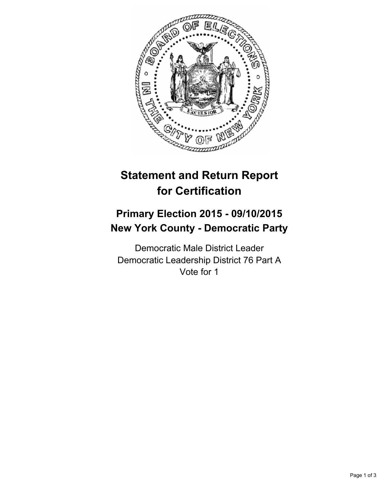

# **Statement and Return Report for Certification**

## **Primary Election 2015 - 09/10/2015 New York County - Democratic Party**

Democratic Male District Leader Democratic Leadership District 76 Part A Vote for 1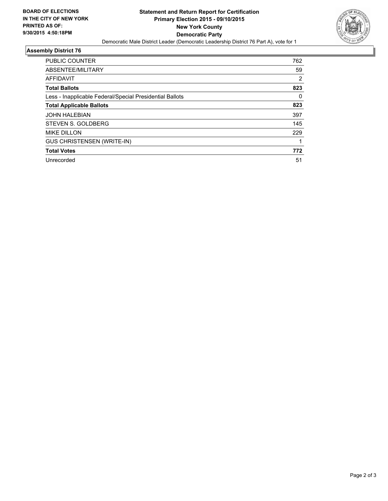

### **Assembly District 76**

| <b>PUBLIC COUNTER</b>                                    | 762 |
|----------------------------------------------------------|-----|
| ABSENTEE/MILITARY                                        | 59  |
| <b>AFFIDAVIT</b>                                         | 2   |
| <b>Total Ballots</b>                                     | 823 |
| Less - Inapplicable Federal/Special Presidential Ballots | 0   |
| <b>Total Applicable Ballots</b>                          | 823 |
| <b>JOHN HALEBIAN</b>                                     | 397 |
| STEVEN S. GOLDBERG                                       | 145 |
| <b>MIKE DILLON</b>                                       | 229 |
| <b>GUS CHRISTENSEN (WRITE-IN)</b>                        |     |
| <b>Total Votes</b>                                       | 772 |
| Unrecorded                                               | 51  |